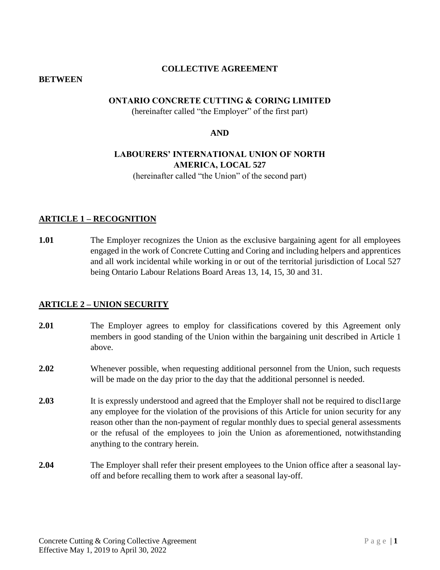## **COLLECTIVE AGREEMENT**

#### **BETWEEN**

#### **ONTARIO CONCRETE CUTTING & CORING LIMITED**

(hereinafter called "the Employer" of the first part)

#### **AND**

# **LABOURERS' INTERNATIONAL UNION OF NORTH AMERICA, LOCAL 527**

(hereinafter called "the Union" of the second part)

#### **ARTICLE 1 – RECOGNITION**

**1.01** The Employer recognizes the Union as the exclusive bargaining agent for all employees engaged in the work of Concrete Cutting and Coring and including helpers and apprentices and all work incidental while working in or out of the territorial jurisdiction of Local 527 being Ontario Labour Relations Board Areas 13, 14, 15, 30 and 31.

#### **ARTICLE 2 – UNION SECURITY**

- **2.01** The Employer agrees to employ for classifications covered by this Agreement only members in good standing of the Union within the bargaining unit described in Article 1 above.
- **2.02** Whenever possible, when requesting additional personnel from the Union, such requests will be made on the day prior to the day that the additional personnel is needed.
- **2.03** It is expressly understood and agreed that the Employer shall not be required to discl1arge any employee for the violation of the provisions of this Article for union security for any reason other than the non-payment of regular monthly dues to special general assessments or the refusal of the employees to join the Union as aforementioned, notwithstanding anything to the contrary herein.
- **2.04** The Employer shall refer their present employees to the Union office after a seasonal layoff and before recalling them to work after a seasonal lay-off.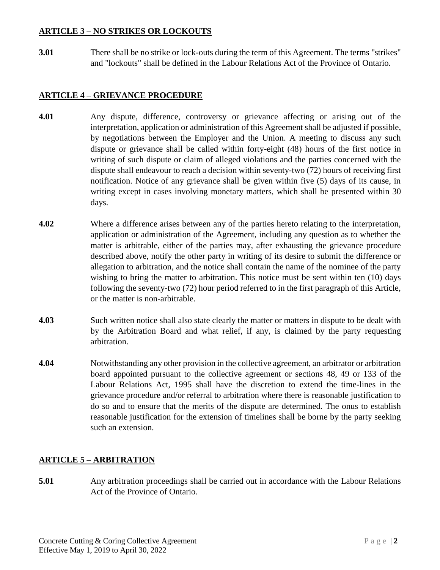## **ARTICLE 3 – NO STRIKES OR LOCKOUTS**

**3.01** There shall be no strike or lock-outs during the term of this Agreement. The terms "strikes" and "lockouts" shall be defined in the Labour Relations Act of the Province of Ontario.

## **ARTICLE 4 – GRIEVANCE PROCEDURE**

- **4.01** Any dispute, difference, controversy or grievance affecting or arising out of the interpretation, application or administration of this Agreement shall be adjusted if possible, by negotiations between the Employer and the Union. A meeting to discuss any such dispute or grievance shall be called within forty-eight (48) hours of the first notice in writing of such dispute or claim of alleged violations and the parties concerned with the dispute shall endeavour to reach a decision within seventy-two (72) hours of receiving first notification. Notice of any grievance shall be given within five (5) days of its cause, in writing except in cases involving monetary matters, which shall be presented within 30 days.
- **4.02** Where a difference arises between any of the parties hereto relating to the interpretation, application or administration of the Agreement, including any question as to whether the matter is arbitrable, either of the parties may, after exhausting the grievance procedure described above, notify the other party in writing of its desire to submit the difference or allegation to arbitration, and the notice shall contain the name of the nominee of the party wishing to bring the matter to arbitration. This notice must be sent within ten (10) days following the seventy-two (72) hour period referred to in the first paragraph of this Article, or the matter is non-arbitrable.
- **4.03** Such written notice shall also state clearly the matter or matters in dispute to be dealt with by the Arbitration Board and what relief, if any, is claimed by the party requesting arbitration.
- **4.04** Notwithstanding any other provision in the collective agreement, an arbitrator or arbitration board appointed pursuant to the collective agreement or sections 48, 49 or 133 of the Labour Relations Act, 1995 shall have the discretion to extend the time-lines in the grievance procedure and/or referral to arbitration where there is reasonable justification to do so and to ensure that the merits of the dispute are determined. The onus to establish reasonable justification for the extension of timelines shall be borne by the party seeking such an extension.

# **ARTICLE 5 – ARBITRATION**

**5.01** Any arbitration proceedings shall be carried out in accordance with the Labour Relations Act of the Province of Ontario.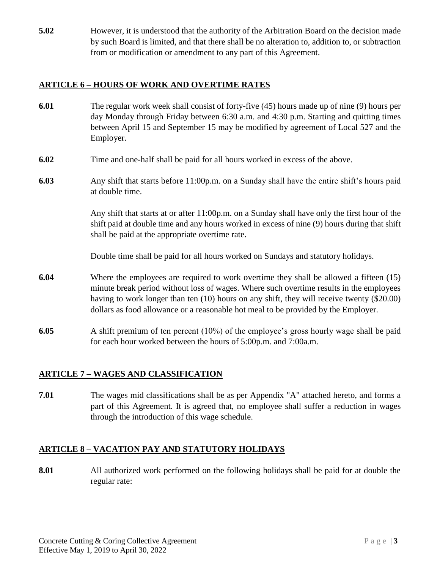**5.02** However, it is understood that the authority of the Arbitration Board on the decision made by such Board is limited, and that there shall be no alteration to, addition to, or subtraction from or modification or amendment to any part of this Agreement.

## **ARTICLE 6 – HOURS OF WORK AND OVERTIME RATES**

- **6.01** The regular work week shall consist of forty-five (45) hours made up of nine (9) hours per day Monday through Friday between 6:30 a.m. and 4:30 p.m. Starting and quitting times between April 15 and September 15 may be modified by agreement of Local 527 and the Employer.
- **6.02** Time and one-half shall be paid for all hours worked in excess of the above.
- **6.03** Any shift that starts before 11:00p.m. on a Sunday shall have the entire shift's hours paid at double time.

Any shift that starts at or after 11:00p.m. on a Sunday shall have only the first hour of the shift paid at double time and any hours worked in excess of nine (9) hours during that shift shall be paid at the appropriate overtime rate.

Double time shall be paid for all hours worked on Sundays and statutory holidays.

- **6.04** Where the employees are required to work overtime they shall be allowed a fifteen (15) minute break period without loss of wages. Where such overtime results in the employees having to work longer than ten (10) hours on any shift, they will receive twenty (\$20.00) dollars as food allowance or a reasonable hot meal to be provided by the Employer.
- **6.05** A shift premium of ten percent (10%) of the employee's gross hourly wage shall be paid for each hour worked between the hours of 5:00p.m. and 7:00a.m.

# **ARTICLE 7 – WAGES AND CLASSIFICATION**

**7.01** The wages mid classifications shall be as per Appendix "A" attached hereto, and forms a part of this Agreement. It is agreed that, no employee shall suffer a reduction in wages through the introduction of this wage schedule.

## **ARTICLE 8 – VACATION PAY AND STATUTORY HOLIDAYS**

**8.01** All authorized work performed on the following holidays shall be paid for at double the regular rate: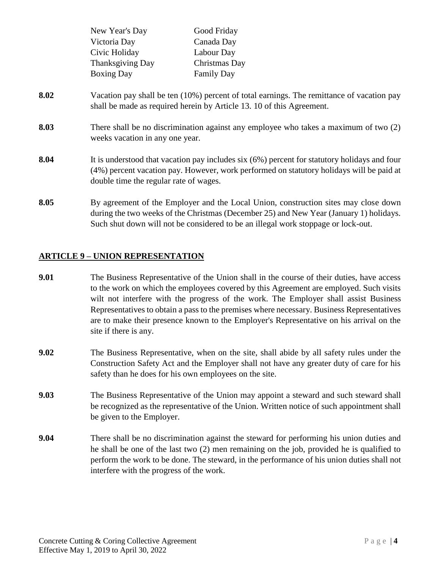|      | New Year's Day                                                                                                                                                                                                                     | Good Friday                                                                                                                                                                                                                                                        |  |
|------|------------------------------------------------------------------------------------------------------------------------------------------------------------------------------------------------------------------------------------|--------------------------------------------------------------------------------------------------------------------------------------------------------------------------------------------------------------------------------------------------------------------|--|
|      | Victoria Day                                                                                                                                                                                                                       | Canada Day                                                                                                                                                                                                                                                         |  |
|      | Civic Holiday                                                                                                                                                                                                                      | Labour Day                                                                                                                                                                                                                                                         |  |
|      | Thanksgiving Day                                                                                                                                                                                                                   | Christmas Day                                                                                                                                                                                                                                                      |  |
|      | <b>Boxing Day</b>                                                                                                                                                                                                                  | <b>Family Day</b>                                                                                                                                                                                                                                                  |  |
| 8.02 |                                                                                                                                                                                                                                    | Vacation pay shall be ten (10%) percent of total earnings. The remittance of vacation pay<br>shall be made as required herein by Article 13. 10 of this Agreement.                                                                                                 |  |
| 8.03 | There shall be no discrimination against any employee who takes a maximum of two (2)<br>weeks vacation in any one year.                                                                                                            |                                                                                                                                                                                                                                                                    |  |
| 8.04 | It is understood that vacation pay includes six (6%) percent for statutory holidays and four<br>(4%) percent vacation pay. However, work performed on statutory holidays will be paid at<br>double time the regular rate of wages. |                                                                                                                                                                                                                                                                    |  |
| 8.05 |                                                                                                                                                                                                                                    | By agreement of the Employer and the Local Union, construction sites may close down<br>during the two weeks of the Christmas (December 25) and New Year (January 1) holidays.<br>Such shut down will not be considered to be an illegal work stoppage or lock-out. |  |

#### **ARTICLE 9 – UNION REPRESENTATION**

- **9.01** The Business Representative of the Union shall in the course of their duties, have access to the work on which the employees covered by this Agreement are employed. Such visits wilt not interfere with the progress of the work. The Employer shall assist Business Representatives to obtain a pass to the premises where necessary. Business Representatives are to make their presence known to the Employer's Representative on his arrival on the site if there is any.
- **9.02** The Business Representative, when on the site, shall abide by all safety rules under the Construction Safety Act and the Employer shall not have any greater duty of care for his safety than he does for his own employees on the site.
- **9.03** The Business Representative of the Union may appoint a steward and such steward shall be recognized as the representative of the Union. Written notice of such appointment shall be given to the Employer.
- **9.04** There shall be no discrimination against the steward for performing his union duties and he shall be one of the last two (2) men remaining on the job, provided he is qualified to perform the work to be done. The steward, in the performance of his union duties shall not interfere with the progress of the work.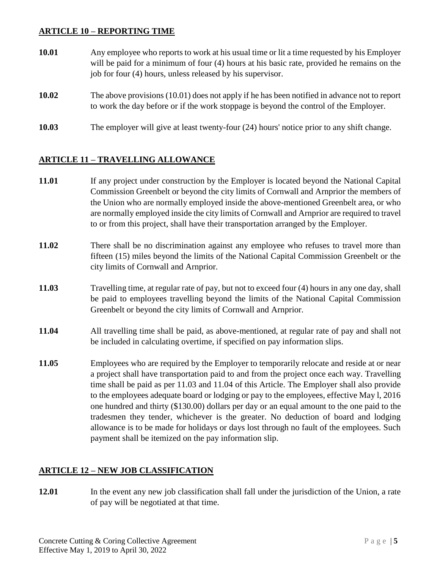## **ARTICLE 10 – REPORTING TIME**

- **10.01** Any employee who reports to work at his usual time or lit a time requested by his Employer will be paid for a minimum of four (4) hours at his basic rate, provided he remains on the job for four (4) hours, unless released by his supervisor.
- **10.02** The above provisions (10.01) does not apply if he has been notified in advance not to report to work the day before or if the work stoppage is beyond the control of the Employer.
- **10.03** The employer will give at least twenty-four (24) hours' notice prior to any shift change.

## **ARTICLE 11 – TRAVELLING ALLOWANCE**

- **11.01** If any project under construction by the Employer is located beyond the National Capital Commission Greenbelt or beyond the city limits of Cornwall and Arnprior the members of the Union who are normally employed inside the above-mentioned Greenbelt area, or who are normally employed inside the city limits of Cornwall and Arnprior are required to travel to or from this project, shall have their transportation arranged by the Employer.
- **11.02** There shall be no discrimination against any employee who refuses to travel more than fifteen (15) miles beyond the limits of the National Capital Commission Greenbelt or the city limits of Cornwall and Arnprior.
- **11.03** Travelling time, at regular rate of pay, but not to exceed four (4) hours in any one day, shall be paid to employees travelling beyond the limits of the National Capital Commission Greenbelt or beyond the city limits of Cornwall and Arnprior.
- **11.04** All travelling time shall be paid, as above-mentioned, at regular rate of pay and shall not be included in calculating overtime, if specified on pay information slips.
- **11.05** Employees who are required by the Employer to temporarily relocate and reside at or near a project shall have transportation paid to and from the project once each way. Travelling time shall be paid as per 11.03 and 11.04 of this Article. The Employer shall also provide to the employees adequate board or lodging or pay to the employees, effective May l, 2016 one hundred and thirty (\$130.00) dollars per day or an equal amount to the one paid to the tradesmen they tender, whichever is the greater. No deduction of board and lodging allowance is to be made for holidays or days lost through no fault of the employees. Such payment shall be itemized on the pay information slip.

## **ARTICLE 12 – NEW JOB CLASSIFICATION**

**12.01** In the event any new job classification shall fall under the jurisdiction of the Union, a rate of pay will be negotiated at that time.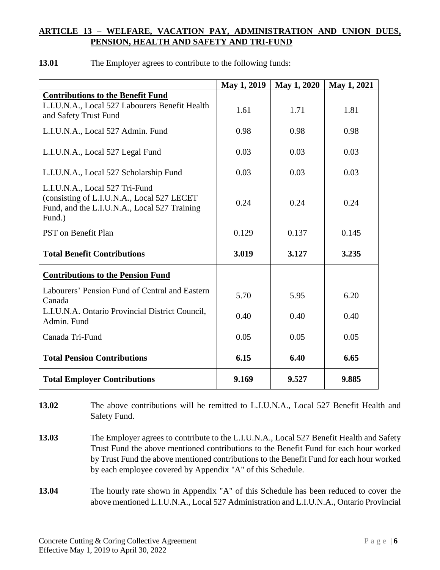# **ARTICLE 13 – WELFARE, VACATION PAY, ADMINISTRATION AND UNION DUES, PENSION, HEALTH AND SAFETY AND TRI-FUND**

|                                                                                                                                        | May 1, 2019 | May 1, 2020 | May 1, 2021 |
|----------------------------------------------------------------------------------------------------------------------------------------|-------------|-------------|-------------|
| <b>Contributions to the Benefit Fund</b>                                                                                               |             |             |             |
| L.I.U.N.A., Local 527 Labourers Benefit Health<br>and Safety Trust Fund                                                                | 1.61        | 1.71        | 1.81        |
| L.I.U.N.A., Local 527 Admin. Fund                                                                                                      | 0.98        | 0.98        | 0.98        |
| L.I.U.N.A., Local 527 Legal Fund                                                                                                       | 0.03        | 0.03        | 0.03        |
| L.I.U.N.A., Local 527 Scholarship Fund                                                                                                 | 0.03        | 0.03        | 0.03        |
| L.I.U.N.A., Local 527 Tri-Fund<br>(consisting of L.I.U.N.A., Local 527 LECET<br>Fund, and the L.I.U.N.A., Local 527 Training<br>Fund.) | 0.24        | 0.24        | 0.24        |
| PST on Benefit Plan                                                                                                                    | 0.129       | 0.137       | 0.145       |
| <b>Total Benefit Contributions</b>                                                                                                     | 3.019       | 3.127       | 3.235       |
| <b>Contributions to the Pension Fund</b>                                                                                               |             |             |             |
| Labourers' Pension Fund of Central and Eastern<br>Canada                                                                               | 5.70        | 5.95        | 6.20        |
| L.I.U.N.A. Ontario Provincial District Council,<br>Admin. Fund                                                                         | 0.40        | 0.40        | 0.40        |
| Canada Tri-Fund                                                                                                                        | 0.05        | 0.05        | 0.05        |
| <b>Total Pension Contributions</b>                                                                                                     | 6.15        | 6.40        | 6.65        |
| <b>Total Employer Contributions</b>                                                                                                    | 9.169       | 9.527       | 9.885       |

**13.01** The Employer agrees to contribute to the following funds:

**13.02** The above contributions will he remitted to L.I.U.N.A., Local 527 Benefit Health and Safety Fund.

**13.03** The Employer agrees to contribute to the L.I.U.N.A., Local 527 Benefit Health and Safety Trust Fund the above mentioned contributions to the Benefit Fund for each hour worked by Trust Fund the above mentioned contributions to the Benefit Fund for each hour worked by each employee covered by Appendix "A" of this Schedule.

**13.04** The hourly rate shown in Appendix "A" of this Schedule has been reduced to cover the above mentioned L.I.U.N.A., Local 527 Administration and L.I.U.N.A., Ontario Provincial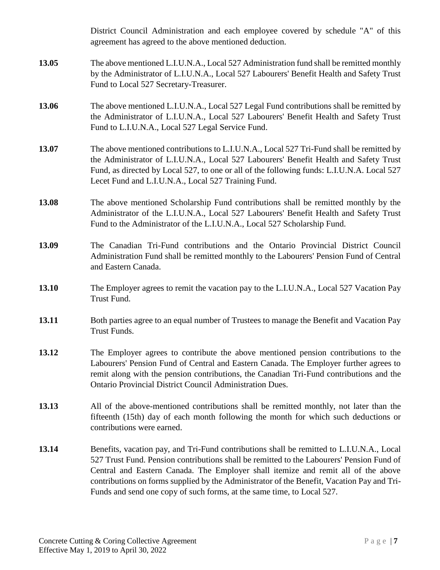|       | District Council Administration and each employee covered by schedule "A" of this<br>agreement has agreed to the above mentioned deduction.                                                                                                                                                                                                                                                                                                         |
|-------|-----------------------------------------------------------------------------------------------------------------------------------------------------------------------------------------------------------------------------------------------------------------------------------------------------------------------------------------------------------------------------------------------------------------------------------------------------|
| 13.05 | The above mentioned L.I.U.N.A., Local 527 Administration fund shall be remitted monthly<br>by the Administrator of L.I.U.N.A., Local 527 Labourers' Benefit Health and Safety Trust<br>Fund to Local 527 Secretary-Treasurer.                                                                                                                                                                                                                       |
| 13.06 | The above mentioned L.I.U.N.A., Local 527 Legal Fund contributions shall be remitted by<br>the Administrator of L.I.U.N.A., Local 527 Labourers' Benefit Health and Safety Trust<br>Fund to L.I.U.N.A., Local 527 Legal Service Fund.                                                                                                                                                                                                               |
| 13.07 | The above mentioned contributions to L.I.U.N.A., Local 527 Tri-Fund shall be remitted by<br>the Administrator of L.I.U.N.A., Local 527 Labourers' Benefit Health and Safety Trust<br>Fund, as directed by Local 527, to one or all of the following funds: L.I.U.N.A. Local 527<br>Lecet Fund and L.I.U.N.A., Local 527 Training Fund.                                                                                                              |
| 13.08 | The above mentioned Scholarship Fund contributions shall be remitted monthly by the<br>Administrator of the L.I.U.N.A., Local 527 Labourers' Benefit Health and Safety Trust<br>Fund to the Administrator of the L.I.U.N.A., Local 527 Scholarship Fund.                                                                                                                                                                                            |
| 13.09 | The Canadian Tri-Fund contributions and the Ontario Provincial District Council<br>Administration Fund shall be remitted monthly to the Labourers' Pension Fund of Central<br>and Eastern Canada.                                                                                                                                                                                                                                                   |
| 13.10 | The Employer agrees to remit the vacation pay to the L.I.U.N.A., Local 527 Vacation Pay<br>Trust Fund.                                                                                                                                                                                                                                                                                                                                              |
| 13.11 | Both parties agree to an equal number of Trustees to manage the Benefit and Vacation Pay<br>Trust Funds.                                                                                                                                                                                                                                                                                                                                            |
| 13.12 | The Employer agrees to contribute the above mentioned pension contributions to the<br>Labourers' Pension Fund of Central and Eastern Canada. The Employer further agrees to<br>remit along with the pension contributions, the Canadian Tri-Fund contributions and the<br><b>Ontario Provincial District Council Administration Dues.</b>                                                                                                           |
| 13.13 | All of the above-mentioned contributions shall be remitted monthly, not later than the<br>fifteenth (15th) day of each month following the month for which such deductions or<br>contributions were earned.                                                                                                                                                                                                                                         |
| 13.14 | Benefits, vacation pay, and Tri-Fund contributions shall be remitted to L.I.U.N.A., Local<br>527 Trust Fund. Pension contributions shall be remitted to the Labourers' Pension Fund of<br>Central and Eastern Canada. The Employer shall itemize and remit all of the above<br>contributions on forms supplied by the Administrator of the Benefit, Vacation Pay and Tri-<br>Funds and send one copy of such forms, at the same time, to Local 527. |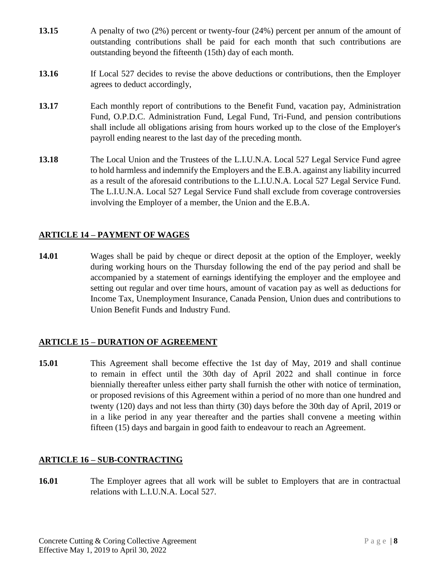- **13.15** A penalty of two (2%) percent or twenty-four (24%) percent per annum of the amount of outstanding contributions shall be paid for each month that such contributions are outstanding beyond the fifteenth (15th) day of each month.
- **13.16** If Local 527 decides to revise the above deductions or contributions, then the Employer agrees to deduct accordingly,
- **13.17** Each monthly report of contributions to the Benefit Fund, vacation pay, Administration Fund, O.P.D.C. Administration Fund, Legal Fund, Tri-Fund, and pension contributions shall include all obligations arising from hours worked up to the close of the Employer's payroll ending nearest to the last day of the preceding month.
- **13.18** The Local Union and the Trustees of the L.I.U.N.A. Local 527 Legal Service Fund agree to hold harmless and indemnify the Employers and the E.B.A. against any liability incurred as a result of the aforesaid contributions to the L.I.U.N.A. Local 527 Legal Service Fund. The L.I.U.N.A. Local 527 Legal Service Fund shall exclude from coverage controversies involving the Employer of a member, the Union and the E.B.A.

# **ARTICLE 14 – PAYMENT OF WAGES**

**14.01** Wages shall be paid by cheque or direct deposit at the option of the Employer, weekly during working hours on the Thursday following the end of the pay period and shall be accompanied by a statement of earnings identifying the employer and the employee and setting out regular and over time hours, amount of vacation pay as well as deductions for Income Tax, Unemployment Insurance, Canada Pension, Union dues and contributions to Union Benefit Funds and Industry Fund.

## **ARTICLE 15 – DURATION OF AGREEMENT**

**15.01** This Agreement shall become effective the 1st day of May, 2019 and shall continue to remain in effect until the 30th day of April 2022 and shall continue in force biennially thereafter unless either party shall furnish the other with notice of termination, or proposed revisions of this Agreement within a period of no more than one hundred and twenty (120) days and not less than thirty (30) days before the 30th day of April, 2019 or in a like period in any year thereafter and the parties shall convene a meeting within fifteen (15) days and bargain in good faith to endeavour to reach an Agreement.

# **ARTICLE 16 – SUB-CONTRACTING**

**16.01** The Employer agrees that all work will be sublet to Employers that are in contractual relations with L.I.U.N.A. Local 527.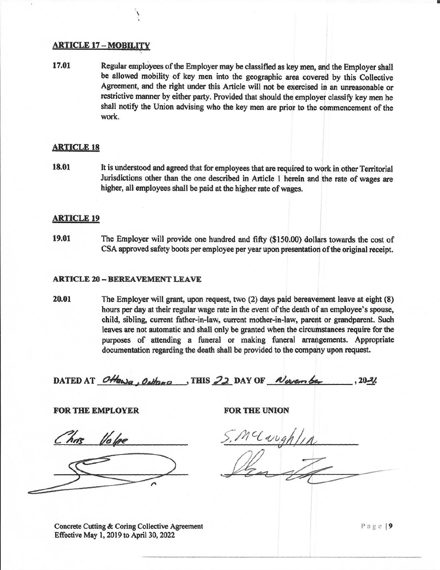#### **ARTICLE 17 - MOBILITY**

17.01 Regular employees of the Employer may be classified as key men, and the Employer shall be allowed mobility of key men into the geographic area covered by this Collective Agreement, and the right under this Article will not be exercised in an unreasonable or restrictive manner by either party. Provided that should the employer classify key men he shall notify the Union advising who the key men are prior to the commencement of the work.

#### **ARTICLE 18**

18.01 It is understood and agreed that for employees that are required to work in other Territorial Jurisdictions other than the one described in Article 1 herein and the rate of wages are higher, all employees shall be paid at the higher rate of wages.

#### **ARTICLE 19**

19.01 The Employer will provide one hundred and fifty (\$150.00) dollars towards the cost of CSA approved safety boots per employee per year upon presentation of the original receipt.

#### **ARTICLE 20 - BEREAVEMENT LEAVE**

20.01 The Employer will grant, upon request, two (2) days paid bereavement leave at eight (8) hours per day at their regular wage rate in the event of the death of an employee's spouse, child, sibling, current father-in-law, current mother-in-law, parent or grandparent. Such leaves are not automatic and shall only be granted when the circumstances require for the purposes of attending a funeral or making funeral arrangements. Appropriate documentation regarding the death shall be provided to the company upon request.

DATED AT Ottawa, Onthono, THIS 22 DAY OF Nevero be  $.20 - 2/$ 

**FOR THE EMPLOYER** 

has Volpe



FOR THE UNION

nclaughlin

Concrete Cutting & Coring Collective Agreement Effective May 1, 2019 to April 30, 2022

Page | 9